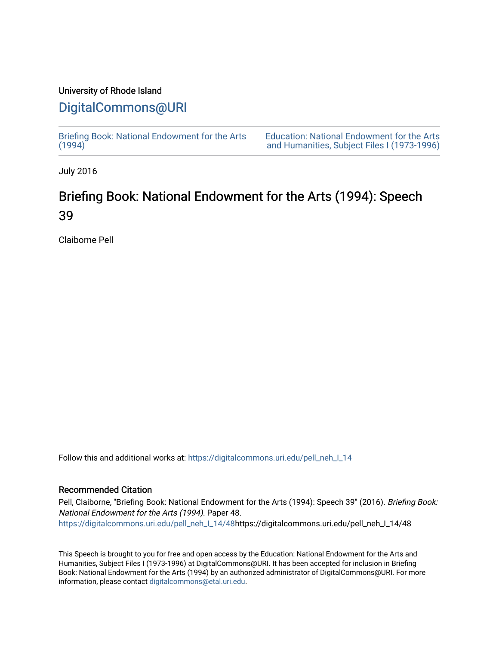## University of Rhode Island

# [DigitalCommons@URI](https://digitalcommons.uri.edu/)

[Briefing Book: National Endowment for the Arts](https://digitalcommons.uri.edu/pell_neh_I_14)  $(1994)$ 

[Education: National Endowment for the Arts](https://digitalcommons.uri.edu/pell_neh_I)  [and Humanities, Subject Files I \(1973-1996\)](https://digitalcommons.uri.edu/pell_neh_I) 

July 2016

# Briefing Book: National Endowment for the Arts (1994): Speech 39

Claiborne Pell

Follow this and additional works at: [https://digitalcommons.uri.edu/pell\\_neh\\_I\\_14](https://digitalcommons.uri.edu/pell_neh_I_14?utm_source=digitalcommons.uri.edu%2Fpell_neh_I_14%2F48&utm_medium=PDF&utm_campaign=PDFCoverPages) 

#### Recommended Citation

Pell, Claiborne, "Briefing Book: National Endowment for the Arts (1994): Speech 39" (2016). Briefing Book: National Endowment for the Arts (1994). Paper 48. [https://digitalcommons.uri.edu/pell\\_neh\\_I\\_14/48h](https://digitalcommons.uri.edu/pell_neh_I_14/48?utm_source=digitalcommons.uri.edu%2Fpell_neh_I_14%2F48&utm_medium=PDF&utm_campaign=PDFCoverPages)ttps://digitalcommons.uri.edu/pell\_neh\_I\_14/48

This Speech is brought to you for free and open access by the Education: National Endowment for the Arts and Humanities, Subject Files I (1973-1996) at DigitalCommons@URI. It has been accepted for inclusion in Briefing Book: National Endowment for the Arts (1994) by an authorized administrator of DigitalCommons@URI. For more information, please contact [digitalcommons@etal.uri.edu.](mailto:digitalcommons@etal.uri.edu)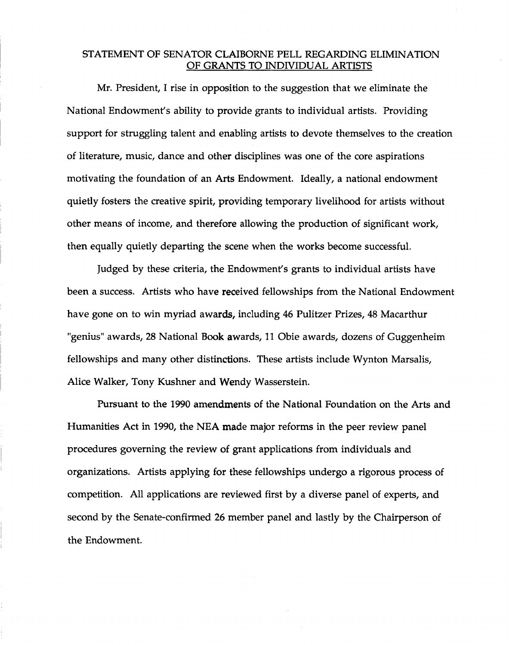### STATEMENT OF SENATOR CLAIBORNE PELL REGARDING ELIMINATION OF GRANTS TO INDIVIDUAL ARTISTS

Mr. President, I rise in opposition to the suggestion that we eliminate the National Endowment's ability to provide grants to individual artists. Providing support for struggling talent and enabling artists to devote themselves to the creation of literature, music, dance and other disciplines was one of the core aspirations motivating the foundation of an Arts Endowment. Ideally, a national endowment quietly fosters the creative spirit, providing temporary livelihood for artists without other means of income, and therefore allowing the production of significant work, then equally quietly departing the scene when the works become successful.

Judged by these criteria, the Endowment's grants to individual artists have been a success. Artists who have received fellowships from the National Endowment have gone on to win myriad awards, including 46 Pulitzer Prizes, 48 Macarthur "genius" awards, 28 National Book awards, 11 Obie awards, dozens of Guggenheim fellowships and many other distinctions. These artists include Wynton Marsalis, Alice Walker, Tony Kushner and Wendy Wasserstein.

Pursuant to the 1990 amendments of the National Foundation on the Arts and Humanities Act in 1990, the NEA made major reforms in the peer review panel procedures governing the review of grant applications from individuals and organizations. Artists applying for these fellowships undergo a rigorous process of competition. All applications are reviewed first by a diverse panel of experts, and second by the Senate-confirmed 26 member panel and lastly by the Chairperson of the Endowment.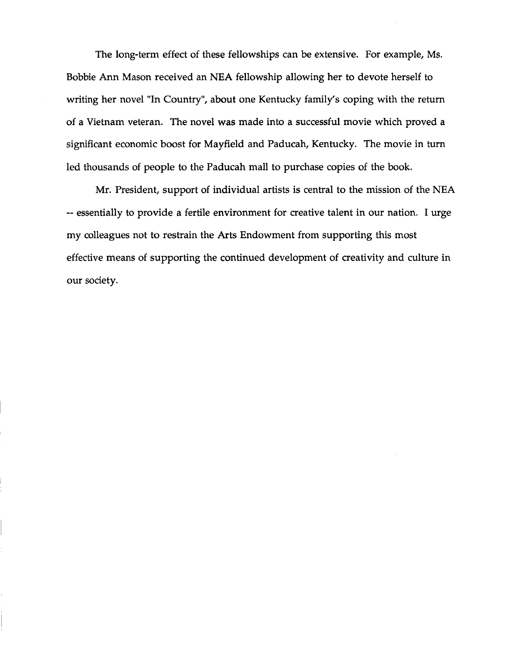The long-term effect of these fellowships can be extensive. For example, Ms. Bobbie Ann Mason received an NEA fellowship allowing her to devote herself to writing her novel "In Country", about one Kentucky family's coping with the return of a Vietnam veteran. The novel was made into a successful movie which proved a significant economic boost for Mayfield and Paducah, Kentucky. The movie in turn led thousands of people to the Paducah mall to purchase copies of the book.

Mr. President, support of individual artists is central to the mission of the NEA -- essentially to provide a fertile environment for creative talent in our nation. I urge my colleagues not to restrain the Arts Endowment from supporting this most effective means of supporting the continued development of creativity and culture in our society.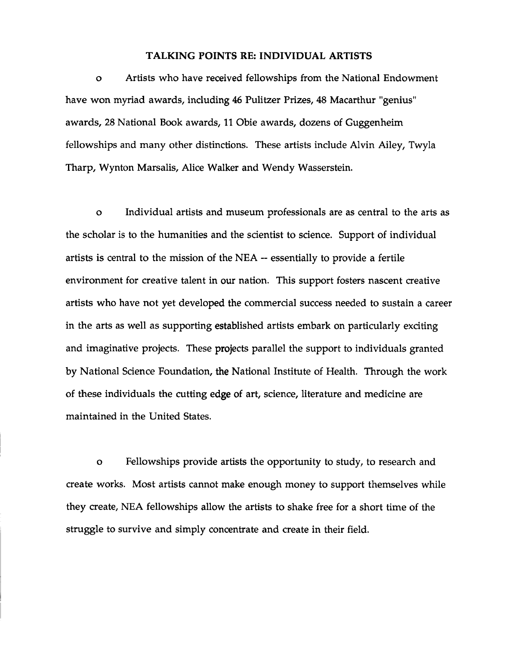#### TALKING POINTS RE: INDIVIDUAL ARTISTS

o Artists who have received fellowships from the National Endowment have won myriad awards, including 46 Pulitzer Prizes, 48 Macarthur "genius" awards, 28 National Book awards, 11 Obie awards, dozens of Guggenheim fellowships and many other distinctions. These artists include Alvin Ailey, Twyla Tharp, Wynton Marsalis, Alice Walker and Wendy Wasserstein.

o Individual artists and museum professionals are as central to the arts as the scholar is to the humanities and the scientist to science. Support of individual artists is central to the mission of the NEA -- essentially to provide a fertile environment for creative talent in our nation. This support fosters nascent creative artists who have not yet developed the commercial success needed to sustain a career in the arts as well as supporting established artists embark on particularly exciting and imaginative projects. These projects parallel the support to individuals granted by National Science Foundation, the National Institute of Health. Through the work of these individuals the cutting edge of art, science, literature and medicine are maintained in the United States.

o Fellowships provide artists the opportunity to study, to research and create works. Most artists cannot make enough money to support themselves while they create, NEA fellowships allow the artists to shake free for a short time of the struggle to survive and simply concentrate and create in their field.